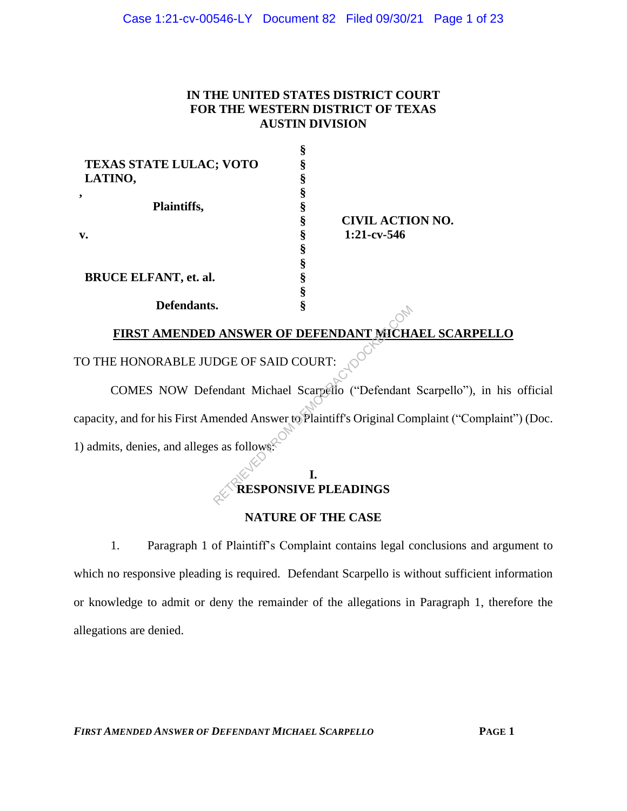# **IN THE UNITED STATES DISTRICT COURT FOR THE WESTERN DISTRICT OF TEXAS AUSTIN DIVISION**

**§**

| x |                         |
|---|-------------------------|
|   |                         |
|   |                         |
|   |                         |
|   |                         |
|   | <b>CIVIL ACTION NO.</b> |
|   | $1:21$ -cv-546          |
|   |                         |
|   |                         |
|   |                         |
|   |                         |
|   |                         |
|   |                         |

# **FIRST AMENDED ANSWER OF DEFENDANT MICHAEL SCARPELLO**

TO THE HONORABLE JUDGE OF SAID COURT:

COMES NOW Defendant Michael Scarpello ("Defendant Scarpello"), in his official capacity, and for his First Amended Answer to Plaintiff's Original Complaint ("Complaint") (Doc. 1) admits, denies, and alleges as follows: RETRIEVED FOR DEFENDANT MICHARD COURT:<br>
Example of SAID COURT:<br>
Example to Plaintiff's Original Contracts as follows:<br>
The SAID COURT:<br>
Said Contract of Plaintiff's Original Contracts as follows:<br>
The RESPONSIVE PLEADINGS

# **I. RESPONSIVE PLEADINGS**

# **NATURE OF THE CASE**

1. Paragraph 1 of Plaintiff's Complaint contains legal conclusions and argument to which no responsive pleading is required. Defendant Scarpello is without sufficient information or knowledge to admit or deny the remainder of the allegations in Paragraph 1, therefore the allegations are denied.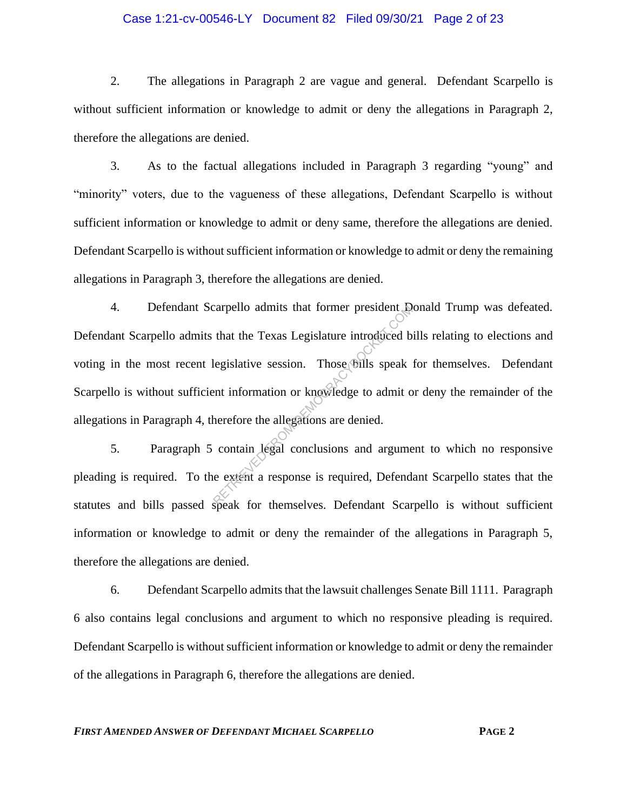## Case 1:21-cv-00546-LY Document 82 Filed 09/30/21 Page 2 of 23

2. The allegations in Paragraph 2 are vague and general. Defendant Scarpello is without sufficient information or knowledge to admit or deny the allegations in Paragraph 2, therefore the allegations are denied.

3. As to the factual allegations included in Paragraph 3 regarding "young" and "minority" voters, due to the vagueness of these allegations, Defendant Scarpello is without sufficient information or knowledge to admit or deny same, therefore the allegations are denied. Defendant Scarpello is without sufficient information or knowledge to admit or deny the remaining allegations in Paragraph 3, therefore the allegations are denied.

4. Defendant Scarpello admits that former president Donald Trump was defeated. Defendant Scarpello admits that the Texas Legislature introduced bills relating to elections and voting in the most recent legislative session. Those bills speak for themselves. Defendant Scarpello is without sufficient information or knowledge to admit or deny the remainder of the allegations in Paragraph 4, therefore the allegations are denied. Example 10 admits that former president to<br>that the Texas Legislature introduced b<br>legislative session. Those bills speak<br>ent information or knowledge to admit of<br>herefore the allegations are denied.<br>contain legal conclusi

5. Paragraph 5 contain legal conclusions and argument to which no responsive pleading is required. To the extent a response is required, Defendant Scarpello states that the statutes and bills passed speak for themselves. Defendant Scarpello is without sufficient information or knowledge to admit or deny the remainder of the allegations in Paragraph 5, therefore the allegations are denied.

6. Defendant Scarpello admits that the lawsuit challenges Senate Bill 1111. Paragraph 6 also contains legal conclusions and argument to which no responsive pleading is required. Defendant Scarpello is without sufficient information or knowledge to admit or deny the remainder of the allegations in Paragraph 6, therefore the allegations are denied.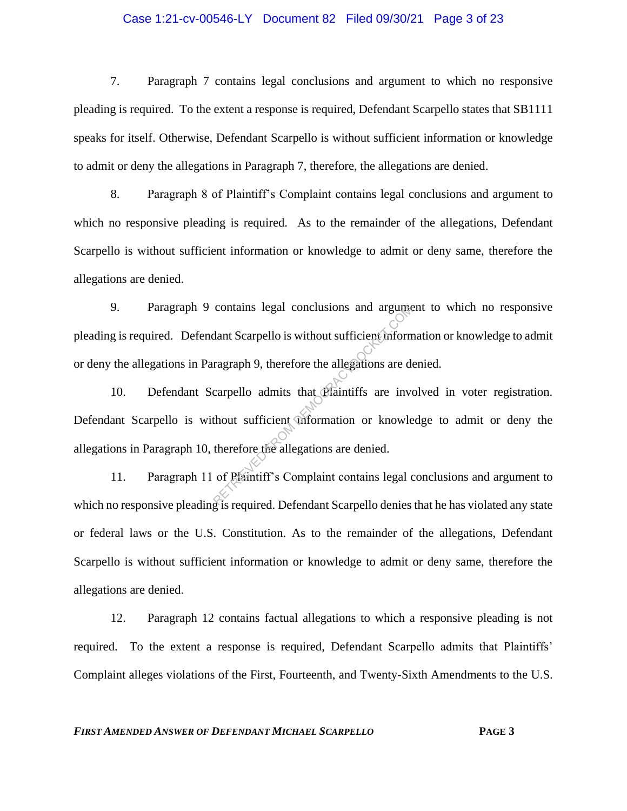## Case 1:21-cv-00546-LY Document 82 Filed 09/30/21 Page 3 of 23

7. Paragraph 7 contains legal conclusions and argument to which no responsive pleading is required. To the extent a response is required, Defendant Scarpello states that SB1111 speaks for itself. Otherwise, Defendant Scarpello is without sufficient information or knowledge to admit or deny the allegations in Paragraph 7, therefore, the allegations are denied.

8. Paragraph 8 of Plaintiff's Complaint contains legal conclusions and argument to which no responsive pleading is required. As to the remainder of the allegations, Defendant Scarpello is without sufficient information or knowledge to admit or deny same, therefore the allegations are denied.

9. Paragraph 9 contains legal conclusions and argument to which no responsive pleading is required. Defendant Scarpello is without sufficient information or knowledge to admit or deny the allegations in Paragraph 9, therefore the allegations are denied.

10. Defendant Scarpello admits that Plaintiffs are involved in voter registration. Defendant Scarpello is without sufficient information or knowledge to admit or deny the allegations in Paragraph 10, therefore the allegations are denied. contains legal conclusions and argume<br>dant Scarpello is without sufficient inform<br>ragraph 9, therefore the allegations are de<br>carpello admits that Plaintiffs are inverse allegations or knowle<br>therefore the allegations are

11. Paragraph 11 of Plaintiff's Complaint contains legal conclusions and argument to which no responsive pleading is required. Defendant Scarpello denies that he has violated any state or federal laws or the U.S. Constitution. As to the remainder of the allegations, Defendant Scarpello is without sufficient information or knowledge to admit or deny same, therefore the allegations are denied.

12. Paragraph 12 contains factual allegations to which a responsive pleading is not required. To the extent a response is required, Defendant Scarpello admits that Plaintiffs' Complaint alleges violations of the First, Fourteenth, and Twenty-Sixth Amendments to the U.S.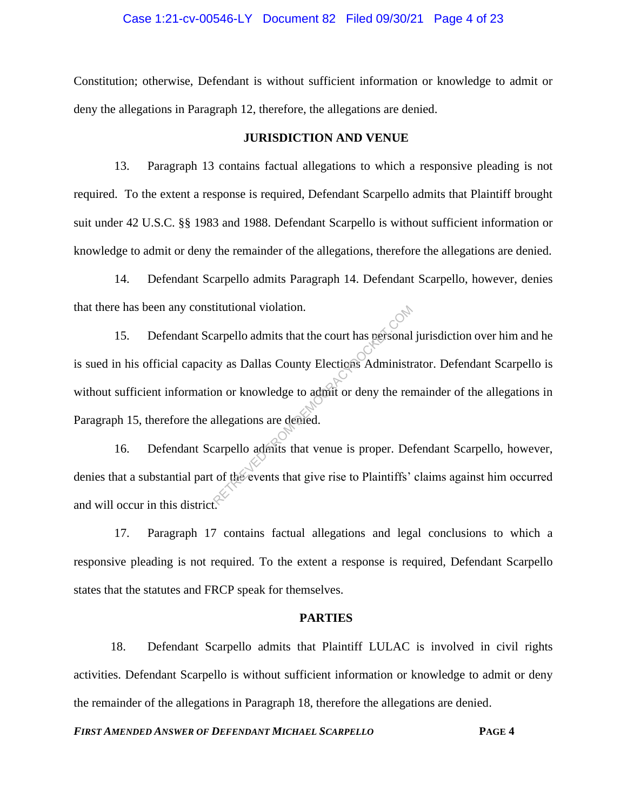## Case 1:21-cv-00546-LY Document 82 Filed 09/30/21 Page 4 of 23

Constitution; otherwise, Defendant is without sufficient information or knowledge to admit or deny the allegations in Paragraph 12, therefore, the allegations are denied.

#### **JURISDICTION AND VENUE**

13. Paragraph 13 contains factual allegations to which a responsive pleading is not required. To the extent a response is required, Defendant Scarpello admits that Plaintiff brought suit under 42 U.S.C. §§ 1983 and 1988. Defendant Scarpello is without sufficient information or knowledge to admit or deny the remainder of the allegations, therefore the allegations are denied.

14. Defendant Scarpello admits Paragraph 14. Defendant Scarpello, however, denies that there has been any constitutional violation.

15. Defendant Scarpello admits that the court has personal jurisdiction over him and he is sued in his official capacity as Dallas County Elections Administrator. Defendant Scarpello is without sufficient information or knowledge to admit or deny the remainder of the allegations in Paragraph 15, therefore the allegations are denied. Example 1 at the court has personal<br>ty as Dallas County Elections Administr<br>on or knowledge to admit or deny the ren<br>allegations are demed.<br>carpello admits that venue is proper. De<br>of the events that give rise to Plaintiff

16. Defendant Scarpello admits that venue is proper. Defendant Scarpello, however, denies that a substantial part of the events that give rise to Plaintiffs' claims against him occurred and will occur in this district.

17. Paragraph 17 contains factual allegations and legal conclusions to which a responsive pleading is not required. To the extent a response is required, Defendant Scarpello states that the statutes and FRCP speak for themselves.

#### **PARTIES**

18. Defendant Scarpello admits that Plaintiff LULAC is involved in civil rights activities. Defendant Scarpello is without sufficient information or knowledge to admit or deny the remainder of the allegations in Paragraph 18, therefore the allegations are denied.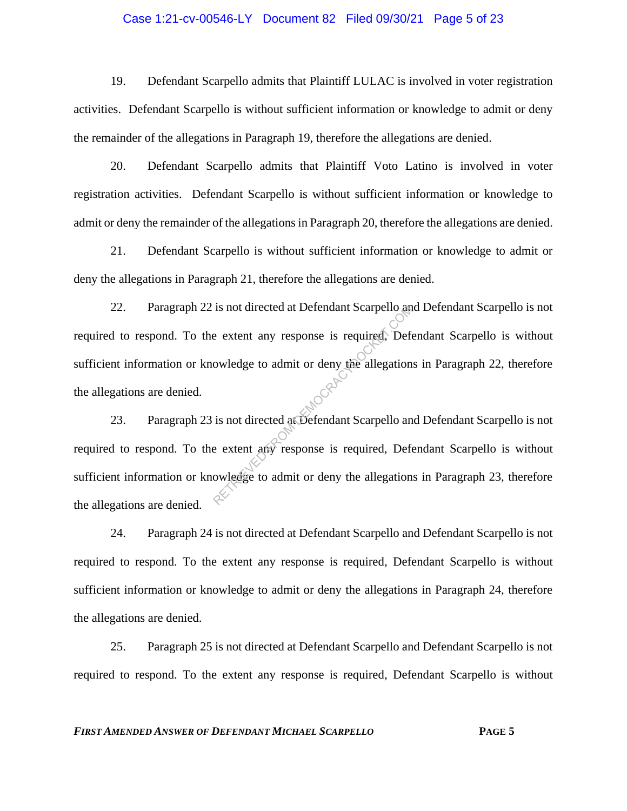## Case 1:21-cv-00546-LY Document 82 Filed 09/30/21 Page 5 of 23

19. Defendant Scarpello admits that Plaintiff LULAC is involved in voter registration activities. Defendant Scarpello is without sufficient information or knowledge to admit or deny the remainder of the allegations in Paragraph 19, therefore the allegations are denied.

20. Defendant Scarpello admits that Plaintiff Voto Latino is involved in voter registration activities. Defendant Scarpello is without sufficient information or knowledge to admit or deny the remainder of the allegations in Paragraph 20, therefore the allegations are denied.

21. Defendant Scarpello is without sufficient information or knowledge to admit or deny the allegations in Paragraph 21, therefore the allegations are denied.

22. Paragraph 22 is not directed at Defendant Scarpello and Defendant Scarpello is not required to respond. To the extent any response is required, Defendant Scarpello is without sufficient information or knowledge to admit or deny the allegations in Paragraph 22, therefore the allegations are denied. Is not directed at Defendant Scarpello and<br>e extent any response is required. Defe<br>owledge to admit or deny the allegation<br>is not directed at Defendant Scarpello and<br>e extent any response is required. Defe<br>owledge to admit

23. Paragraph 23 is not directed at Defendant Scarpello and Defendant Scarpello is not required to respond. To the extent any response is required, Defendant Scarpello is without sufficient information or knowledge to admit or deny the allegations in Paragraph 23, therefore the allegations are denied.

24. Paragraph 24 is not directed at Defendant Scarpello and Defendant Scarpello is not required to respond. To the extent any response is required, Defendant Scarpello is without sufficient information or knowledge to admit or deny the allegations in Paragraph 24, therefore the allegations are denied.

25. Paragraph 25 is not directed at Defendant Scarpello and Defendant Scarpello is not required to respond. To the extent any response is required, Defendant Scarpello is without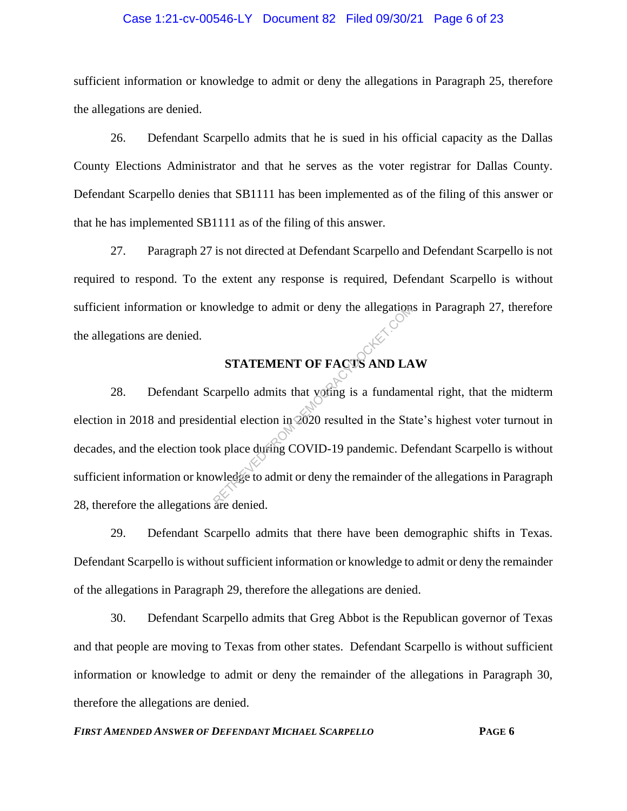#### Case 1:21-cv-00546-LY Document 82 Filed 09/30/21 Page 6 of 23

sufficient information or knowledge to admit or deny the allegations in Paragraph 25, therefore the allegations are denied.

26. Defendant Scarpello admits that he is sued in his official capacity as the Dallas County Elections Administrator and that he serves as the voter registrar for Dallas County. Defendant Scarpello denies that SB1111 has been implemented as of the filing of this answer or that he has implemented SB1111 as of the filing of this answer.

27. Paragraph 27 is not directed at Defendant Scarpello and Defendant Scarpello is not required to respond. To the extent any response is required, Defendant Scarpello is without sufficient information or knowledge to admit or deny the allegations in Paragraph 27, therefore the allegations are denied.

# **STATEMENT OF FACTS AND LAW**

28. Defendant Scarpello admits that voting is a fundamental right, that the midterm election in 2018 and presidential election in 2020 resulted in the State's highest voter turnout in decades, and the election took place during COVID-19 pandemic. Defendant Scarpello is without sufficient information or knowledge to admit or deny the remainder of the allegations in Paragraph 28, therefore the allegations are denied. owledge to admit or deny the allegation<br>
STATEMENT OF FACTS AND LA<br>
carpello admits that yofing is a fundame<br>
ential election in 2020 resulted in the Sta<br>
ok place during COVID-19 pandemic. De<br>
wledge to admit or deny the

29. Defendant Scarpello admits that there have been demographic shifts in Texas. Defendant Scarpello is without sufficient information or knowledge to admit or deny the remainder of the allegations in Paragraph 29, therefore the allegations are denied.

30. Defendant Scarpello admits that Greg Abbot is the Republican governor of Texas and that people are moving to Texas from other states. Defendant Scarpello is without sufficient information or knowledge to admit or deny the remainder of the allegations in Paragraph 30, therefore the allegations are denied.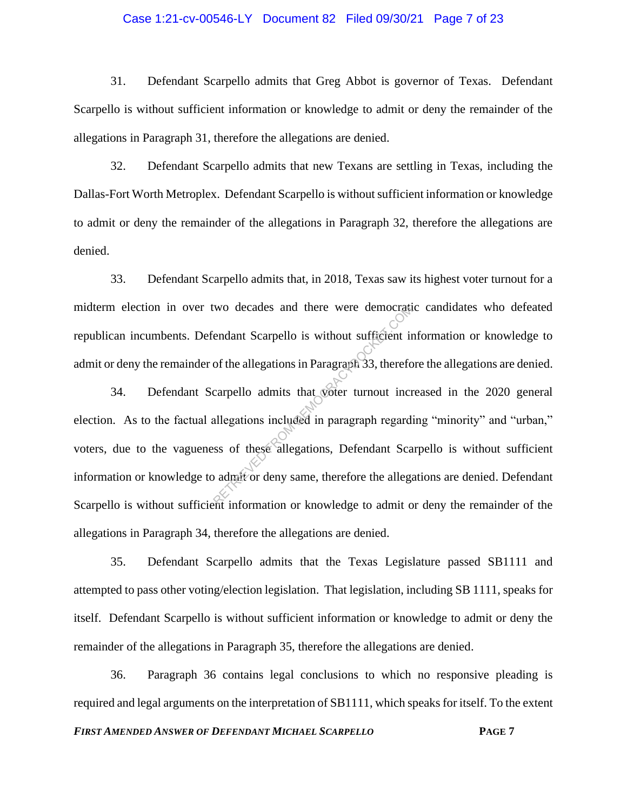## Case 1:21-cv-00546-LY Document 82 Filed 09/30/21 Page 7 of 23

31. Defendant Scarpello admits that Greg Abbot is governor of Texas. Defendant Scarpello is without sufficient information or knowledge to admit or deny the remainder of the allegations in Paragraph 31, therefore the allegations are denied.

32. Defendant Scarpello admits that new Texans are settling in Texas, including the Dallas-Fort Worth Metroplex. Defendant Scarpello is without sufficient information or knowledge to admit or deny the remainder of the allegations in Paragraph 32, therefore the allegations are denied.

33. Defendant Scarpello admits that, in 2018, Texas saw its highest voter turnout for a midterm election in over two decades and there were democratic candidates who defeated republican incumbents. Defendant Scarpello is without sufficient information or knowledge to admit or deny the remainder of the allegations in Paragraph 33, therefore the allegations are denied.

34. Defendant Scarpello admits that voter turnout increased in the 2020 general election. As to the factual allegations included in paragraph regarding "minority" and "urban," voters, due to the vagueness of these allegations, Defendant Scarpello is without sufficient information or knowledge to admit or deny same, therefore the allegations are denied. Defendant Scarpello is without sufficient information or knowledge to admit or deny the remainder of the allegations in Paragraph 34, therefore the allegations are denied. wo decades and there were democration<br>
endant Scarpello is without sufficient in<br>
of the allegations in Paragraph 33, therefore<br>
carpello admits that woter turnout increases<br>
allegations included in paragraph regard<br>
such

35. Defendant Scarpello admits that the Texas Legislature passed SB1111 and attempted to pass other voting/election legislation. That legislation, including SB 1111, speaks for itself. Defendant Scarpello is without sufficient information or knowledge to admit or deny the remainder of the allegations in Paragraph 35, therefore the allegations are denied.

36. Paragraph 36 contains legal conclusions to which no responsive pleading is required and legal arguments on the interpretation of SB1111, which speaks for itself. To the extent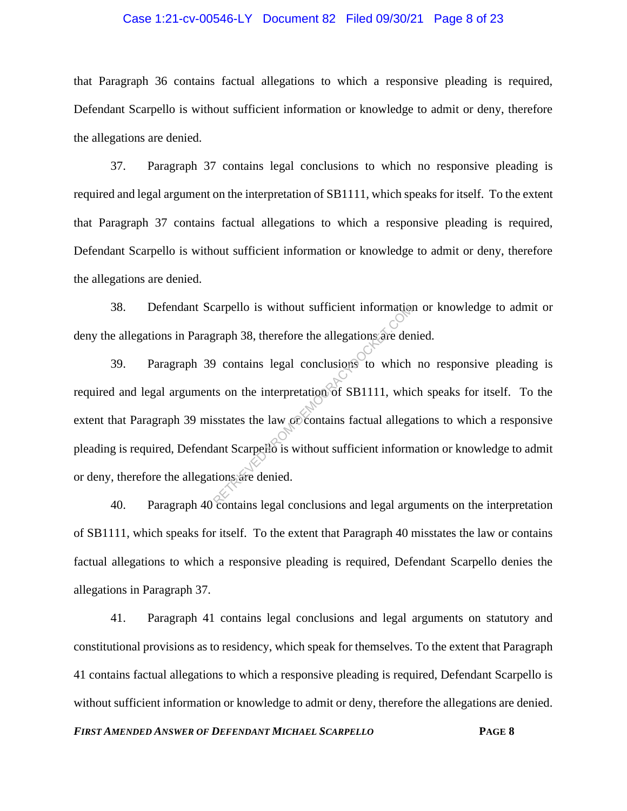## Case 1:21-cv-00546-LY Document 82 Filed 09/30/21 Page 8 of 23

that Paragraph 36 contains factual allegations to which a responsive pleading is required, Defendant Scarpello is without sufficient information or knowledge to admit or deny, therefore the allegations are denied.

37. Paragraph 37 contains legal conclusions to which no responsive pleading is required and legal argument on the interpretation of SB1111, which speaks for itself. To the extent that Paragraph 37 contains factual allegations to which a responsive pleading is required, Defendant Scarpello is without sufficient information or knowledge to admit or deny, therefore the allegations are denied.

38. Defendant Scarpello is without sufficient information or knowledge to admit or deny the allegations in Paragraph 38, therefore the allegations are denied.

39. Paragraph 39 contains legal conclusions to which no responsive pleading is required and legal arguments on the interpretation of SB1111, which speaks for itself. To the extent that Paragraph 39 misstates the law or contains factual allegations to which a responsive pleading is required, Defendant Scarpello is without sufficient information or knowledge to admit or deny, therefore the allegations are denied. Example 18 without sufficient information<br>graph 38, therefore the allegations are der<br>above to which<br>ts on the interpretation of SB1111, which<br>sstates the law of contains factual allegations<br>ant Scarpello is without suffic

40. Paragraph 40 contains legal conclusions and legal arguments on the interpretation of SB1111, which speaks for itself. To the extent that Paragraph 40 misstates the law or contains factual allegations to which a responsive pleading is required, Defendant Scarpello denies the allegations in Paragraph 37.

41. Paragraph 41 contains legal conclusions and legal arguments on statutory and constitutional provisions as to residency, which speak for themselves. To the extent that Paragraph 41 contains factual allegations to which a responsive pleading is required, Defendant Scarpello is without sufficient information or knowledge to admit or deny, therefore the allegations are denied.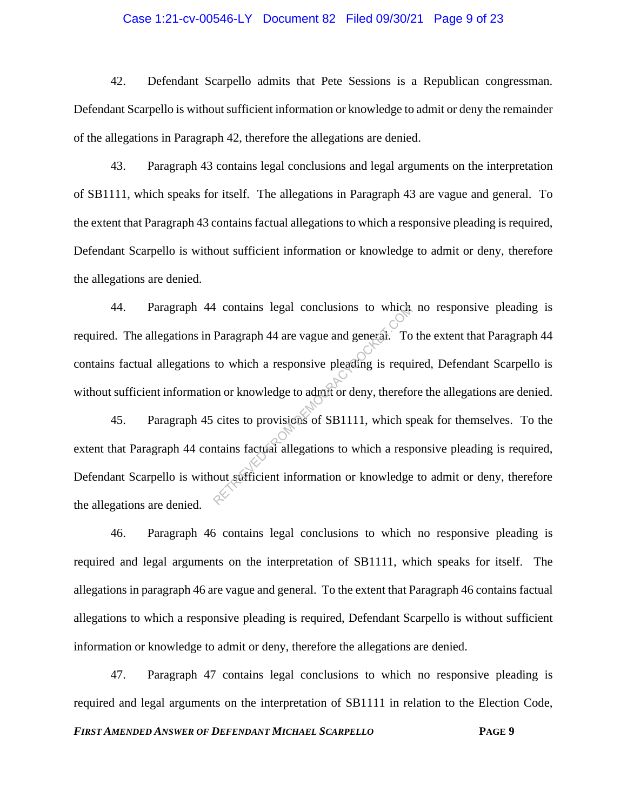## Case 1:21-cv-00546-LY Document 82 Filed 09/30/21 Page 9 of 23

42. Defendant Scarpello admits that Pete Sessions is a Republican congressman. Defendant Scarpello is without sufficient information or knowledge to admit or deny the remainder of the allegations in Paragraph 42, therefore the allegations are denied.

43. Paragraph 43 contains legal conclusions and legal arguments on the interpretation of SB1111, which speaks for itself. The allegations in Paragraph 43 are vague and general. To the extent that Paragraph 43 contains factual allegations to which a responsive pleading is required, Defendant Scarpello is without sufficient information or knowledge to admit or deny, therefore the allegations are denied.

44. Paragraph 44 contains legal conclusions to which no responsive pleading is required. The allegations in Paragraph 44 are vague and general. To the extent that Paragraph 44 contains factual allegations to which a responsive pleading is required, Defendant Scarpello is without sufficient information or knowledge to admit or deny, therefore the allegations are denied.

45. Paragraph 45 cites to provisions of SB1111, which speak for themselves. To the extent that Paragraph 44 contains factual allegations to which a responsive pleading is required, Defendant Scarpello is without sufficient information or knowledge to admit or deny, therefore the allegations are denied. Fragraph 44 are vague and general. To<br>Daragraph 44 are vague and general. To<br>to which a responsive pleading is required<br>in or knowledge to admit or deny, therefore<br>cites to provisions of SB1111, which sp<br>trains factual all

46. Paragraph 46 contains legal conclusions to which no responsive pleading is required and legal arguments on the interpretation of SB1111, which speaks for itself. The allegations in paragraph 46 are vague and general. To the extent that Paragraph 46 contains factual allegations to which a responsive pleading is required, Defendant Scarpello is without sufficient information or knowledge to admit or deny, therefore the allegations are denied.

47. Paragraph 47 contains legal conclusions to which no responsive pleading is required and legal arguments on the interpretation of SB1111 in relation to the Election Code,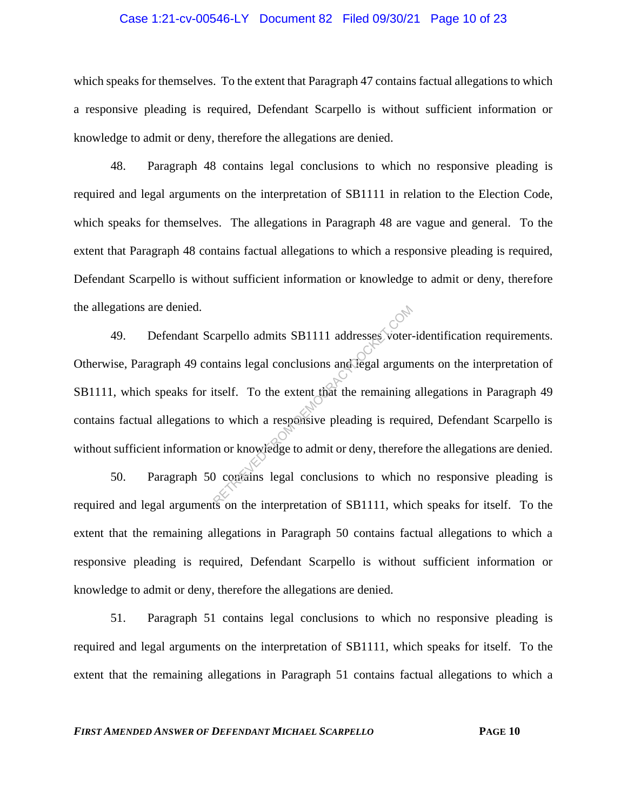## Case 1:21-cv-00546-LY Document 82 Filed 09/30/21 Page 10 of 23

which speaks for themselves. To the extent that Paragraph 47 contains factual allegations to which a responsive pleading is required, Defendant Scarpello is without sufficient information or knowledge to admit or deny, therefore the allegations are denied.

48. Paragraph 48 contains legal conclusions to which no responsive pleading is required and legal arguments on the interpretation of SB1111 in relation to the Election Code, which speaks for themselves. The allegations in Paragraph 48 are vague and general. To the extent that Paragraph 48 contains factual allegations to which a responsive pleading is required, Defendant Scarpello is without sufficient information or knowledge to admit or deny, therefore the allegations are denied.

49. Defendant Scarpello admits SB1111 addresses voter-identification requirements. Otherwise, Paragraph 49 contains legal conclusions and legal arguments on the interpretation of SB1111, which speaks for itself. To the extent that the remaining allegations in Paragraph 49 contains factual allegations to which a responsive pleading is required, Defendant Scarpello is without sufficient information or knowledge to admit or deny, therefore the allegations are denied. Example admits SB1111 addresses voter-<br>
Intains legal conclusions and legal argum<br>
itself. To the extent that the remaining<br>
to which a responsive pleading is required<br>
on or knowledge to admit or deny, therefore of spatia

50. Paragraph 50 contains legal conclusions to which no responsive pleading is required and legal arguments on the interpretation of SB1111, which speaks for itself. To the extent that the remaining allegations in Paragraph 50 contains factual allegations to which a responsive pleading is required, Defendant Scarpello is without sufficient information or knowledge to admit or deny, therefore the allegations are denied.

51. Paragraph 51 contains legal conclusions to which no responsive pleading is required and legal arguments on the interpretation of SB1111, which speaks for itself. To the extent that the remaining allegations in Paragraph 51 contains factual allegations to which a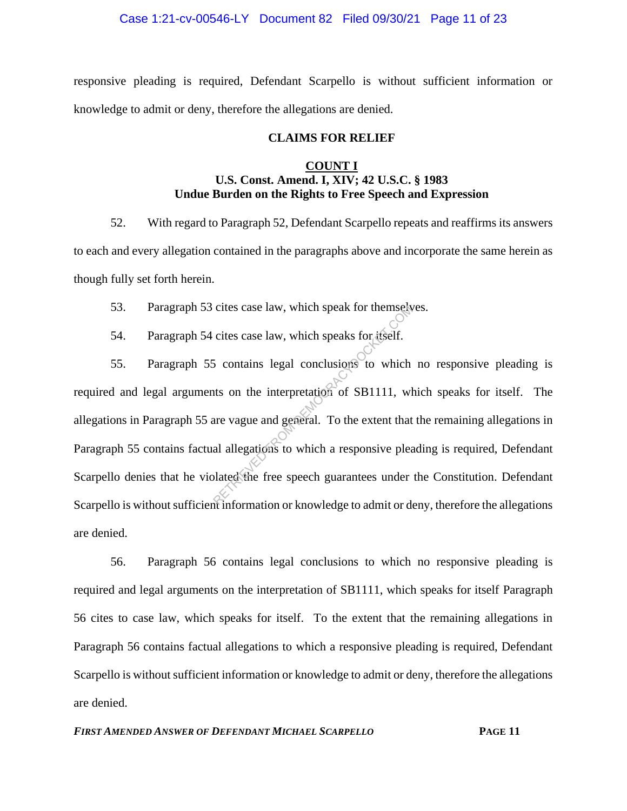## Case 1:21-cv-00546-LY Document 82 Filed 09/30/21 Page 11 of 23

responsive pleading is required, Defendant Scarpello is without sufficient information or knowledge to admit or deny, therefore the allegations are denied.

#### **CLAIMS FOR RELIEF**

## **COUNT I U.S. Const. Amend. I, XIV; 42 U.S.C. § 1983 Undue Burden on the Rights to Free Speech and Expression**

52. With regard to Paragraph 52, Defendant Scarpello repeats and reaffirms its answers to each and every allegation contained in the paragraphs above and incorporate the same herein as though fully set forth herein.

53. Paragraph 53 cites case law, which speak for themselves.

54. Paragraph 54 cites case law, which speaks for itself.

55. Paragraph 55 contains legal conclusions to which no responsive pleading is required and legal arguments on the interpretation of SB1111, which speaks for itself. The allegations in Paragraph 55 are vague and general. To the extent that the remaining allegations in Paragraph 55 contains factual allegations to which a responsive pleading is required, Defendant Scarpello denies that he violated the free speech guarantees under the Constitution. Defendant Scarpello is without sufficient information or knowledge to admit or deny, therefore the allegations are denied. cites case law, which speak for themselved its cites case law, which speaks for itself.<br>
Solutions and conclusions to which that on the interpretation of SB1111, where vague and general. To the extent that all allegations

56. Paragraph 56 contains legal conclusions to which no responsive pleading is required and legal arguments on the interpretation of SB1111, which speaks for itself Paragraph 56 cites to case law, which speaks for itself. To the extent that the remaining allegations in Paragraph 56 contains factual allegations to which a responsive pleading is required, Defendant Scarpello is without sufficient information or knowledge to admit or deny, therefore the allegations are denied.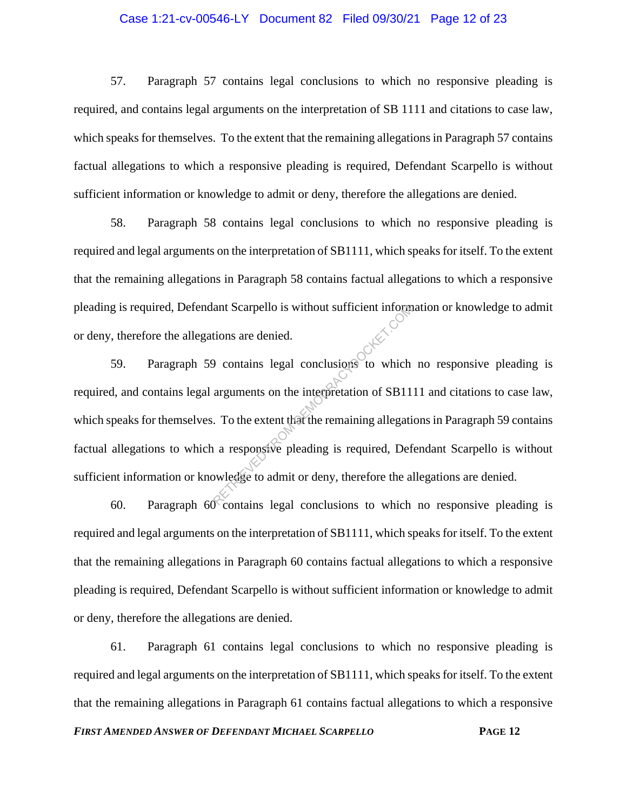## Case 1:21-cv-00546-LY Document 82 Filed 09/30/21 Page 12 of 23

57. Paragraph 57 contains legal conclusions to which no responsive pleading is required, and contains legal arguments on the interpretation of SB 1111 and citations to case law, which speaks for themselves. To the extent that the remaining allegations in Paragraph 57 contains factual allegations to which a responsive pleading is required, Defendant Scarpello is without sufficient information or knowledge to admit or deny, therefore the allegations are denied.

58. Paragraph 58 contains legal conclusions to which no responsive pleading is required and legal arguments on the interpretation of SB1111, which speaks for itself. To the extent that the remaining allegations in Paragraph 58 contains factual allegations to which a responsive pleading is required, Defendant Scarpello is without sufficient information or knowledge to admit or deny, therefore the allegations are denied.

59. Paragraph 59 contains legal conclusions to which no responsive pleading is required, and contains legal arguments on the interpretation of SB1111 and citations to case law, which speaks for themselves. To the extent that the remaining allegations in Paragraph 59 contains factual allegations to which a responsive pleading is required, Defendant Scarpello is without sufficient information or knowledge to admit or deny, therefore the allegations are denied. ant Scarpello is without sufficient informations are denied.<br>
a conclusions to which arguments on the interpretation of SB11<br>
To the extent that the remaining allegation<br>
a responsive pleading is required, Def<br>
by a respon

60. Paragraph 60 contains legal conclusions to which no responsive pleading is required and legal arguments on the interpretation of SB1111, which speaks for itself. To the extent that the remaining allegations in Paragraph 60 contains factual allegations to which a responsive pleading is required, Defendant Scarpello is without sufficient information or knowledge to admit or deny, therefore the allegations are denied.

61. Paragraph 61 contains legal conclusions to which no responsive pleading is required and legal arguments on the interpretation of SB1111, which speaks for itself. To the extent that the remaining allegations in Paragraph 61 contains factual allegations to which a responsive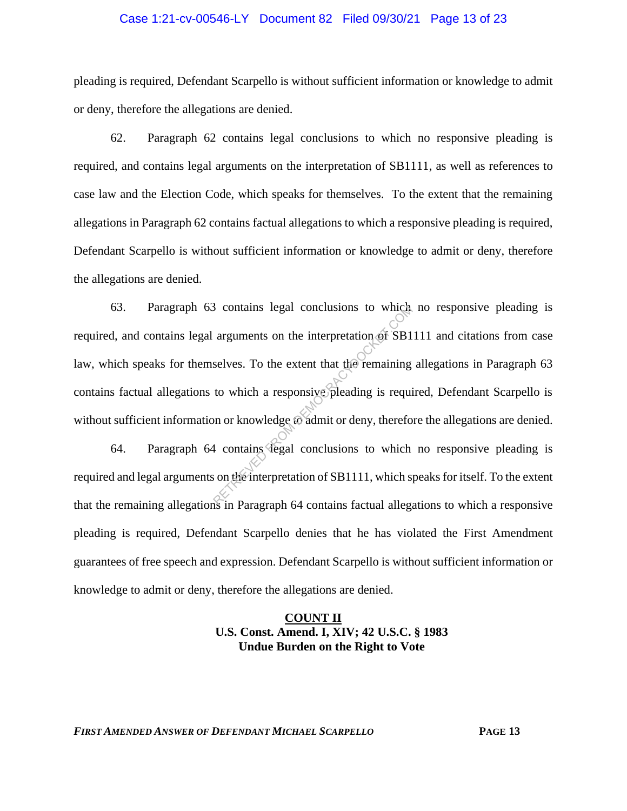#### Case 1:21-cv-00546-LY Document 82 Filed 09/30/21 Page 13 of 23

pleading is required, Defendant Scarpello is without sufficient information or knowledge to admit or deny, therefore the allegations are denied.

62. Paragraph 62 contains legal conclusions to which no responsive pleading is required, and contains legal arguments on the interpretation of SB1111, as well as references to case law and the Election Code, which speaks for themselves. To the extent that the remaining allegations in Paragraph 62 contains factual allegations to which a responsive pleading is required, Defendant Scarpello is without sufficient information or knowledge to admit or deny, therefore the allegations are denied.

63. Paragraph 63 contains legal conclusions to which no responsive pleading is required, and contains legal arguments on the interpretation of SB1111 and citations from case law, which speaks for themselves. To the extent that the remaining allegations in Paragraph 63 contains factual allegations to which a responsive pleading is required, Defendant Scarpello is without sufficient information or knowledge to admit or deny, therefore the allegations are denied. From the interpretation of SB1<br>selves. To the extent that the remaining<br>to which a responsive pleading is required<br>in or knowledge to admit or deny, therefore<br>at contains degal conclusions to which<br>is on the interpretation

64. Paragraph 64 contains legal conclusions to which no responsive pleading is required and legal arguments on the interpretation of SB1111, which speaks for itself. To the extent that the remaining allegations in Paragraph 64 contains factual allegations to which a responsive pleading is required, Defendant Scarpello denies that he has violated the First Amendment guarantees of free speech and expression. Defendant Scarpello is without sufficient information or knowledge to admit or deny, therefore the allegations are denied.

# **COUNT II U.S. Const. Amend. I, XIV; 42 U.S.C. § 1983 Undue Burden on the Right to Vote**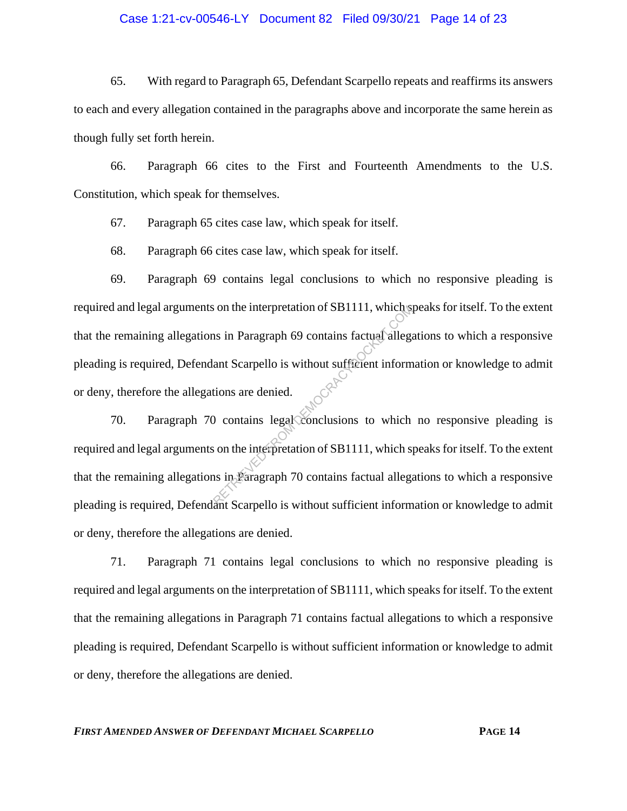#### Case 1:21-cv-00546-LY Document 82 Filed 09/30/21 Page 14 of 23

65. With regard to Paragraph 65, Defendant Scarpello repeats and reaffirms its answers to each and every allegation contained in the paragraphs above and incorporate the same herein as though fully set forth herein.

66. Paragraph 66 cites to the First and Fourteenth Amendments to the U.S. Constitution, which speak for themselves.

67. Paragraph 65 cites case law, which speak for itself.

68. Paragraph 66 cites case law, which speak for itself.

69. Paragraph 69 contains legal conclusions to which no responsive pleading is required and legal arguments on the interpretation of SB1111, which speaks for itself. To the extent that the remaining allegations in Paragraph 69 contains factual allegations to which a responsive pleading is required, Defendant Scarpello is without sufficient information or knowledge to admit or deny, therefore the allegations are denied. FROM DEMONSTRATION OF SETTLE SIGNAL STRATEGIES AND RETRIEVED AS A CONTROLL SIGNAL SURVEY CONTROLL SO THE SERVED OF SAMPLE STRATEGIPH TO CONTROLL STRATEGIPH TO CONTROLL STRATEGIPH TO CONTROLL STRATEGIPH TO CONTROLL STRATEGI

70. Paragraph 70 contains legal conclusions to which no responsive pleading is required and legal arguments on the interpretation of SB1111, which speaks for itself. To the extent that the remaining allegations in Paragraph 70 contains factual allegations to which a responsive pleading is required, Defendant Scarpello is without sufficient information or knowledge to admit or deny, therefore the allegations are denied.

71. Paragraph 71 contains legal conclusions to which no responsive pleading is required and legal arguments on the interpretation of SB1111, which speaks for itself. To the extent that the remaining allegations in Paragraph 71 contains factual allegations to which a responsive pleading is required, Defendant Scarpello is without sufficient information or knowledge to admit or deny, therefore the allegations are denied.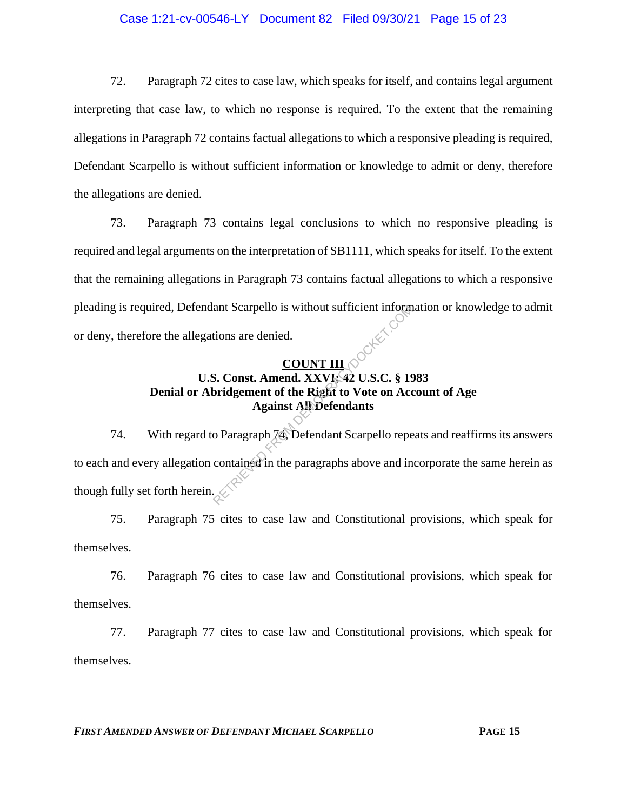## Case 1:21-cv-00546-LY Document 82 Filed 09/30/21 Page 15 of 23

72. Paragraph 72 cites to case law, which speaks for itself, and contains legal argument interpreting that case law, to which no response is required. To the extent that the remaining allegations in Paragraph 72 contains factual allegations to which a responsive pleading is required, Defendant Scarpello is without sufficient information or knowledge to admit or deny, therefore the allegations are denied.

73. Paragraph 73 contains legal conclusions to which no responsive pleading is required and legal arguments on the interpretation of SB1111, which speaks for itself. To the extent that the remaining allegations in Paragraph 73 contains factual allegations to which a responsive pleading is required, Defendant Scarpello is without sufficient information or knowledge to admit or deny, therefore the allegations are denied.

# **COUNT III U.S. Const. Amend. XXVI; 42 U.S.C. § 1983 Denial or Abridgement of the Right to Vote on Account of Age Against All Defendants**

74. With regard to Paragraph 74, Defendant Scarpello repeats and reaffirms its answers to each and every allegation contained in the paragraphs above and incorporate the same herein as though fully set forth herein.  $\mathcal{L}$ ant Scarpello is without sufficient inform<br>tions are denied.<br>S. Const. Amend. XXVI: 42 U.S.C. § 19<br>bridgement of the Right to Vote on Acc<br>Against All Defendants<br>o Paragraph 74, Defendant Scarpello repe<br>contained in the par

75. Paragraph 75 cites to case law and Constitutional provisions, which speak for themselves.

76. Paragraph 76 cites to case law and Constitutional provisions, which speak for themselves.

77. Paragraph 77 cites to case law and Constitutional provisions, which speak for themselves.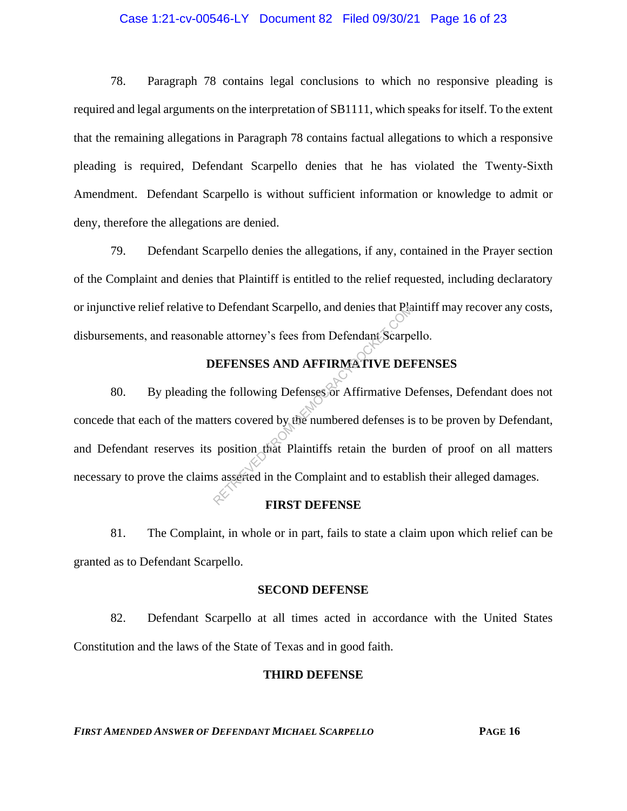## Case 1:21-cv-00546-LY Document 82 Filed 09/30/21 Page 16 of 23

78. Paragraph 78 contains legal conclusions to which no responsive pleading is required and legal arguments on the interpretation of SB1111, which speaks for itself. To the extent that the remaining allegations in Paragraph 78 contains factual allegations to which a responsive pleading is required, Defendant Scarpello denies that he has violated the Twenty-Sixth Amendment. Defendant Scarpello is without sufficient information or knowledge to admit or deny, therefore the allegations are denied.

79. Defendant Scarpello denies the allegations, if any, contained in the Prayer section of the Complaint and denies that Plaintiff is entitled to the relief requested, including declaratory or injunctive relief relative to Defendant Scarpello, and denies that Plaintiff may recover any costs, disbursements, and reasonable attorney's fees from Defendant Scarpello.

# **DEFENSES AND AFFIRMATIVE DEFENSES**

80. By pleading the following Defenses or Affirmative Defenses, Defendant does not concede that each of the matters covered by the numbered defenses is to be proven by Defendant, and Defendant reserves its position that Plaintiffs retain the burden of proof on all matters necessary to prove the claims asserted in the Complaint and to establish their alleged damages. Detendant Scarpello, and denies that Pia<br>
le attorney's fees from Defendant Scarpe<br>
DEFENSES AND AFFIRMATIVE DEI<br>
the following Defenses or Affirmative D<br>
ters covered by the numbered defenses is<br>
position that Plaintiffs

#### **FIRST DEFENSE**

81. The Complaint, in whole or in part, fails to state a claim upon which relief can be granted as to Defendant Scarpello.

#### **SECOND DEFENSE**

82. Defendant Scarpello at all times acted in accordance with the United States Constitution and the laws of the State of Texas and in good faith.

#### **THIRD DEFENSE**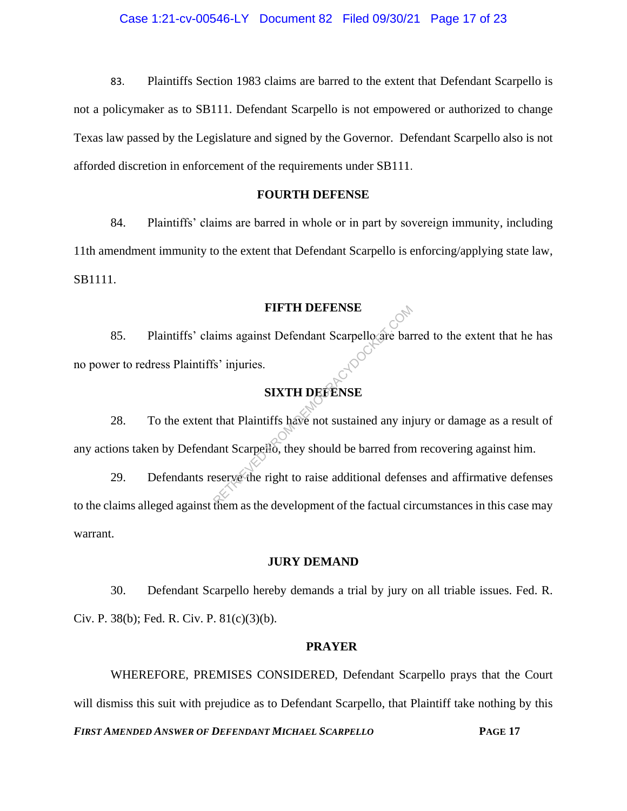83. Plaintiffs Section 1983 claims are barred to the extent that Defendant Scarpello is not a policymaker as to SB111. Defendant Scarpello is not empowered or authorized to change Texas law passed by the Legislature and signed by the Governor. Defendant Scarpello also is not afforded discretion in enforcement of the requirements under SB111.

## **FOURTH DEFENSE**

84. Plaintiffs' claims are barred in whole or in part by sovereign immunity, including 11th amendment immunity to the extent that Defendant Scarpello is enforcing/applying state law, SB1111.

#### **FIFTH DEFENSE**

85. Plaintiffs' claims against Defendant Scarpello are barred to the extent that he has no power to redress Plaintiffs' injuries. FIFTH DEFENSE<br>
ims against Defendant Scarpello are bar<br>
SIXTH DEFENSE<br>
that Plaintiffs have not sustained any injuries.<br>
Than Scarpello, they should be barred from<br>
eserve the right to raise additional defense

# **SIXTH DEFENSE**

28. To the extent that Plaintiffs have not sustained any injury or damage as a result of any actions taken by Defendant Scarpello, they should be barred from recovering against him.

29. Defendants reserve the right to raise additional defenses and affirmative defenses to the claims alleged against them as the development of the factual circumstances in this case may warrant.

## **JURY DEMAND**

30. Defendant Scarpello hereby demands a trial by jury on all triable issues. Fed. R. Civ. P. 38(b); Fed. R. Civ. P.  $81(c)(3)(b)$ .

#### **PRAYER**

WHEREFORE, PREMISES CONSIDERED, Defendant Scarpello prays that the Court will dismiss this suit with prejudice as to Defendant Scarpello, that Plaintiff take nothing by this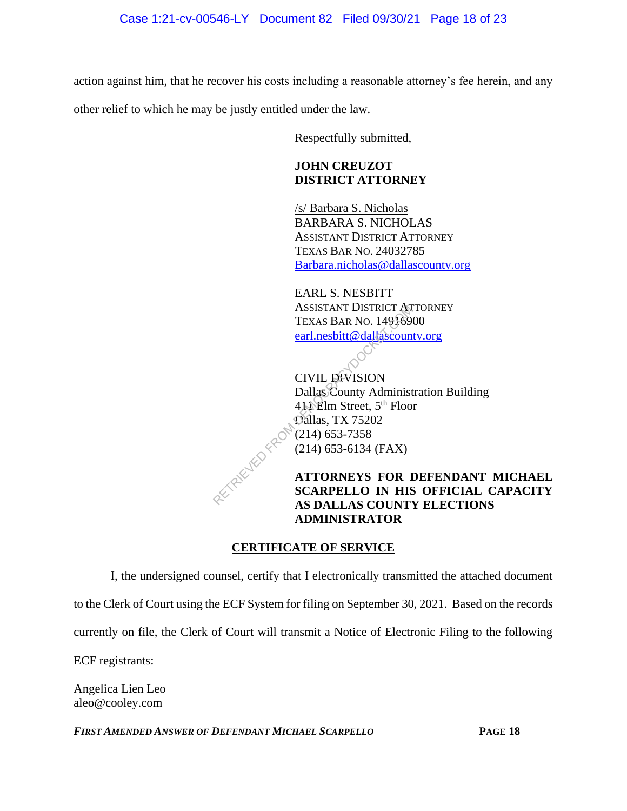action against him, that he recover his costs including a reasonable attorney's fee herein, and any

other relief to which he may be justly entitled under the law.

Respectfully submitted,

# **JOHN CREUZOT DISTRICT ATTORNEY**

/s/ Barbara S. Nicholas BARBARA S. NICHOLAS ASSISTANT DISTRICT ATTORNEY TEXAS BAR NO. 24032785 Barbara.nicholas@dallascounty.org

EARL S. NESBITT ASSISTANT DISTRICT ATTORNEY TEXAS BAR NO. 14916900 earl.nesbitt@dallascounty.org

CIVIL DIVISION Dallas County Administration Building 411 Elm Street, 5<sup>th</sup> Floor Dallas, TX 75202 (214) 653-7358 (214) 653-6134 (FAX) ASSISTANT DISTRICT AT<br>
TEXAS BAR NO. 149169<br>
earl.nesbitt@dallascoun<br>
CIVIL DIVISION<br>
Dallas County Administ<br>
411 Elm Street, 5<sup>th</sup> Floo<br>
Dallas, TX 75202<br>
(214) 653-7358<br>
(214) 653-6134 (FAX)<br>
ATTORNEYS FOR I<br>
SCARPELLO I

**ATTORNEYS FOR DEFENDANT MICHAEL SCARPELLO IN HIS OFFICIAL CAPACITY AS DALLAS COUNTY ELECTIONS ADMINISTRATOR** 

# **CERTIFICATE OF SERVICE**

I, the undersigned counsel, certify that I electronically transmitted the attached document to the Clerk of Court using the ECF System for filing on September 30, 2021. Based on the records currently on file, the Clerk of Court will transmit a Notice of Electronic Filing to the following ECF registrants:

Angelica Lien Leo aleo@cooley.com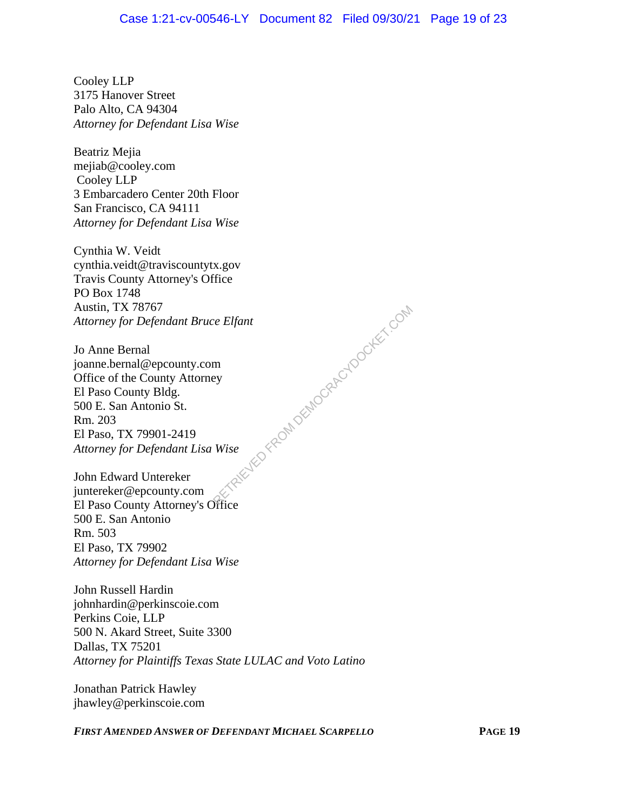Cooley LLP 3175 Hanover Street Palo Alto, CA 94304 *Attorney for Defendant Lisa Wise*

Beatriz Mejia mejiab@cooley.com Cooley LLP 3 Embarcadero Center 20th Floor San Francisco, CA 94111 *Attorney for Defendant Lisa Wise*

Cynthia W. Veidt cynthia.veidt@traviscountytx.gov Travis County Attorney's Office PO Box 1748 Austin, TX 78767 *Attorney for Defendant Bruce Elfant* FEN FROM DEMOCRACYDOCKET.COM

Jo Anne Bernal joanne.bernal@epcounty.com Office of the County Attorney El Paso County Bldg. 500 E. San Antonio St. Rm. 203 El Paso, TX 79901-2419 *Attorney for Defendant Lisa Wise*

John Edward Untereker juntereker@epcounty.com El Paso County Attorney's Office 500 E. San Antonio Rm. 503 El Paso, TX 79902 *Attorney for Defendant Lisa Wise*

John Russell Hardin johnhardin@perkinscoie.com Perkins Coie, LLP 500 N. Akard Street, Suite 3300 Dallas, TX 75201 *Attorney for Plaintiffs Texas State LULAC and Voto Latino*

Jonathan Patrick Hawley jhawley@perkinscoie.com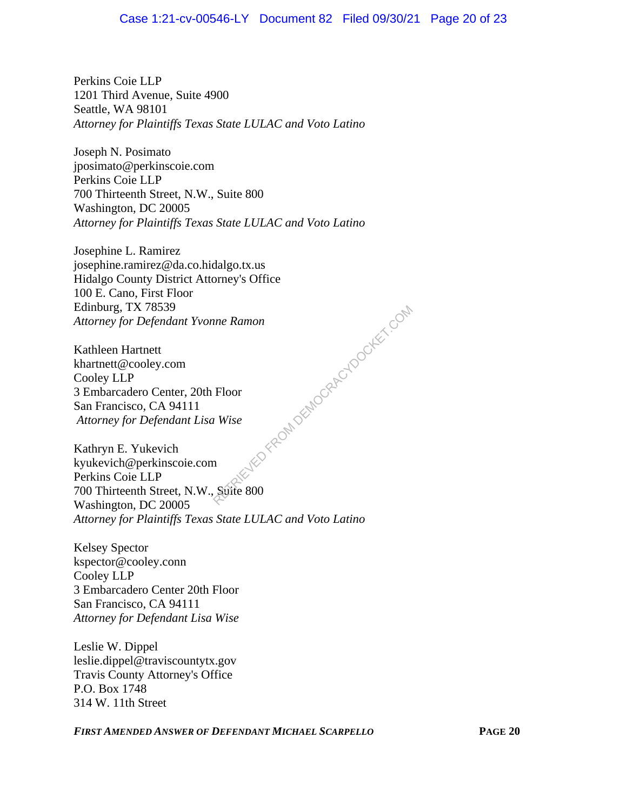Perkins Coie LLP 1201 Third Avenue, Suite 4900 Seattle, WA 98101 *Attorney for Plaintiffs Texas State LULAC and Voto Latino*

Joseph N. Posimato jposimato@perkinscoie.com Perkins Coie LLP 700 Thirteenth Street, N.W., Suite 800 Washington, DC 20005 *Attorney for Plaintiffs Texas State LULAC and Voto Latino*

Josephine L. Ramirez josephine.ramirez@da.co.hidalgo.tx.us Hidalgo County District Attorney's Office 100 E. Cano, First Floor Edinburg, TX 78539 *Attorney for Defendant Yvonne Ramon*

Kathleen Hartnett khartnett@cooley.com Cooley LLP 3 Embarcadero Center, 20th Floor San Francisco, CA 94111 *Attorney for Defendant Lisa Wise*

Kathryn E. Yukevich kyukevich@perkinscoie.com Perkins Coie LLP 700 Thirteenth Street, N.W., Suite 800 Washington, DC 20005 *Attorney for Plaintiffs Texas State LULAC and Voto Latino* FED FROM DEMOCRACYDOCKET.COM

Kelsey Spector kspector@cooley.conn Cooley LLP 3 Embarcadero Center 20th Floor San Francisco, CA 94111 *Attorney for Defendant Lisa Wise*

Leslie W. Dippel leslie.dippel@traviscountytx.gov Travis County Attorney's Office P.O. Box 1748 314 W. 11th Street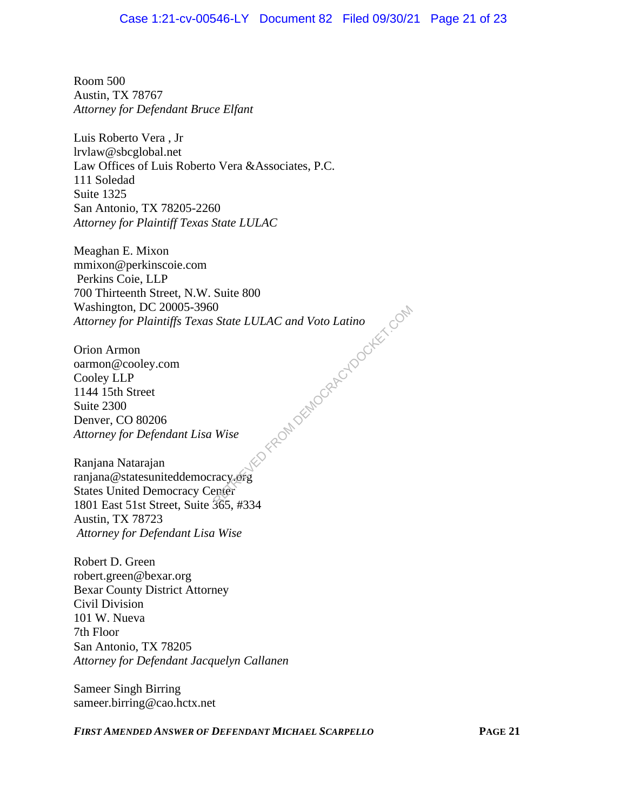Room 500 Austin, TX 78767 *Attorney for Defendant Bruce Elfant*

Luis Roberto Vera , Jr lrvlaw@sbcglobal.net Law Offices of Luis Roberto Vera &Associates, P.C. 111 Soledad Suite 1325 San Antonio, TX 78205-2260 *Attorney for Plaintiff Texas State LULAC*

Meaghan E. Mixon mmixon@perkinscoie.com Perkins Coie, LLP 700 Thirteenth Street, N.W. Suite 800 Washington, DC 20005-3960 *Attorney for Plaintiffs Texas State LULAC and Voto Latino* ElmockhockercyDocker.com

Orion Armon oarmon@cooley.com Cooley LLP 1144 15th Street Suite 2300 Denver, CO 80206 *Attorney for Defendant Lisa Wise*

Ranjana Natarajan ranjana@statesuniteddemocracy.org States United Democracy Center 1801 East 51st Street, Suite 365, #334 Austin, TX 78723 *Attorney for Defendant Lisa Wise*

Robert D. Green robert.green@bexar.org Bexar County District Attorney Civil Division 101 W. Nueva 7th Floor San Antonio, TX 78205 *Attorney for Defendant Jacquelyn Callanen*

Sameer Singh Birring sameer.birring@cao.hctx.net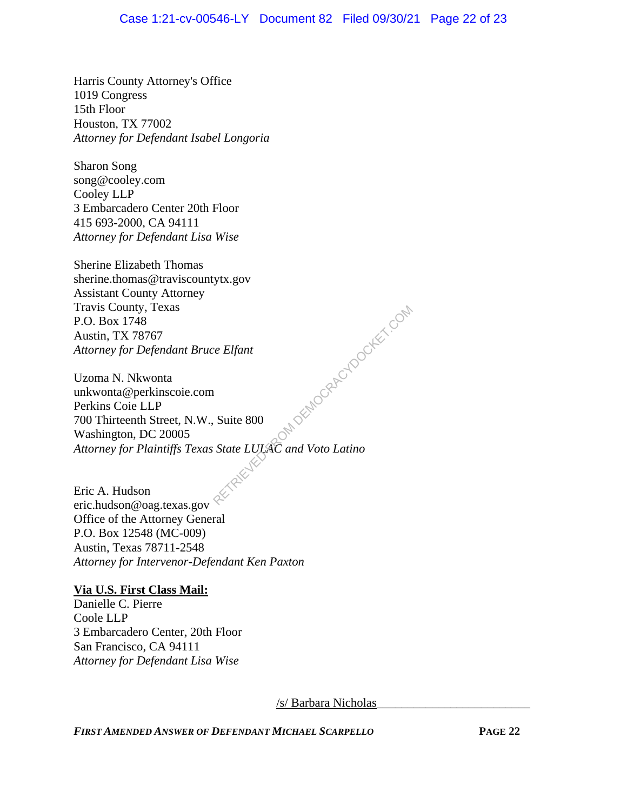## Case 1:21-cv-00546-LY Document 82 Filed 09/30/21 Page 22 of 23

Harris County Attorney's Office 1019 Congress 15th Floor Houston, TX 77002 *Attorney for Defendant Isabel Longoria*

Sharon Song song@cooley.com Cooley LLP 3 Embarcadero Center 20th Floor 415 693-2000, CA 94111 *Attorney for Defendant Lisa Wise*

Sherine Elizabeth Thomas sherine.thomas@traviscountytx.gov Assistant County Attorney Travis County, Texas P.O. Box 1748 Austin, TX 78767 *Attorney for Defendant Bruce Elfant*

Uzoma N. Nkwonta unkwonta@perkinscoie.com Perkins Coie LLP 700 Thirteenth Street, N.W., Suite 800 Washington, DC 20005 *Attorney for Plaintiffs Texas State LULAC and Voto Latino* RA DEMOCRACYDOCKET.COM

Eric A. Hudson eric.hudson@oag.texas.gov Office of the Attorney General P.O. Box 12548 (MC-009) Austin, Texas 78711-2548 *Attorney for Intervenor-Defendant Ken Paxton*

#### **Via U.S. First Class Mail:**

Danielle C. Pierre Coole LLP 3 Embarcadero Center, 20th Floor San Francisco, CA 94111 *Attorney for Defendant Lisa Wise*

/s/ Barbara Nicholas\_\_\_\_\_\_\_\_\_\_\_\_\_\_\_\_\_\_\_\_\_\_\_\_\_